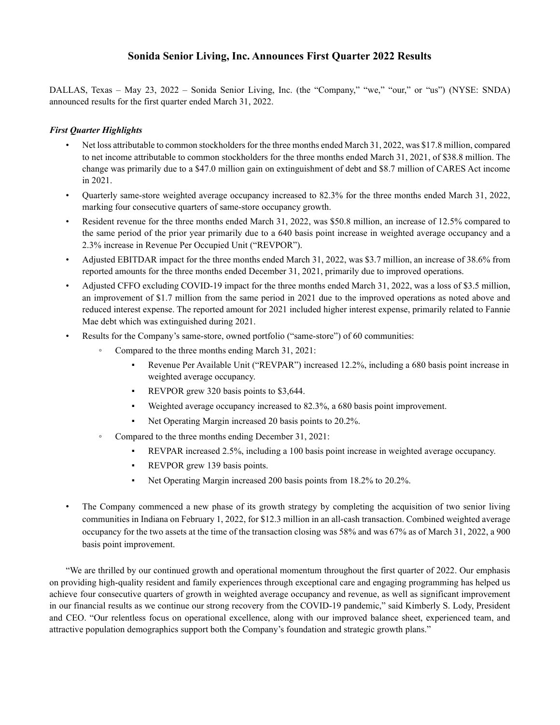## **Sonida Senior Living, Inc. Announces First Quarter 2022 Results**

DALLAS, Texas – May 23, 2022 – Sonida Senior Living, Inc. (the "Company," "we," "our," or "us") (NYSE: SNDA) announced results for the first quarter ended March 31, 2022.

## *First Quarter Highlights*

- Net loss attributable to common stockholders for the three months ended March 31, 2022, was \$17.8 million, compared to net income attributable to common stockholders for the three months ended March 31, 2021, of \$38.8 million. The change was primarily due to a \$47.0 million gain on extinguishment of debt and \$8.7 million of CARES Act income in 2021.
- Quarterly same-store weighted average occupancy increased to 82.3% for the three months ended March 31, 2022, marking four consecutive quarters of same-store occupancy growth.
- Resident revenue for the three months ended March 31, 2022, was \$50.8 million, an increase of 12.5% compared to the same period of the prior year primarily due to a 640 basis point increase in weighted average occupancy and a 2.3% increase in Revenue Per Occupied Unit ("REVPOR").
- Adjusted EBITDAR impact for the three months ended March 31, 2022, was \$3.7 million, an increase of 38.6% from reported amounts for the three months ended December 31, 2021, primarily due to improved operations.
- Adjusted CFFO excluding COVID-19 impact for the three months ended March 31, 2022, was a loss of \$3.5 million, an improvement of \$1.7 million from the same period in 2021 due to the improved operations as noted above and reduced interest expense. The reported amount for 2021 included higher interest expense, primarily related to Fannie Mae debt which was extinguished during 2021.
- Results for the Company's same-store, owned portfolio ("same-store") of 60 communities:
	- Compared to the three months ending March 31, 2021:
		- Revenue Per Available Unit ("REVPAR") increased 12.2%, including a 680 basis point increase in weighted average occupancy.
		- **REVPOR grew 320 basis points to \$3,644.**
		- Weighted average occupancy increased to 82.3%, a 680 basis point improvement.
		- Net Operating Margin increased 20 basis points to 20.2%.
	- Compared to the three months ending December 31, 2021:
		- REVPAR increased 2.5%, including a 100 basis point increase in weighted average occupancy.
		- **•** REVPOR grew 139 basis points.
		- Net Operating Margin increased 200 basis points from 18.2% to 20.2%.
- The Company commenced a new phase of its growth strategy by completing the acquisition of two senior living communities in Indiana on February 1, 2022, for \$12.3 million in an all-cash transaction. Combined weighted average occupancy for the two assets at the time of the transaction closing was 58% and was 67% as of March 31, 2022, a 900 basis point improvement.

"We are thrilled by our continued growth and operational momentum throughout the first quarter of 2022. Our emphasis on providing high-quality resident and family experiences through exceptional care and engaging programming has helped us achieve four consecutive quarters of growth in weighted average occupancy and revenue, as well as significant improvement in our financial results as we continue our strong recovery from the COVID-19 pandemic," said Kimberly S. Lody, President and CEO. "Our relentless focus on operational excellence, along with our improved balance sheet, experienced team, and attractive population demographics support both the Company's foundation and strategic growth plans."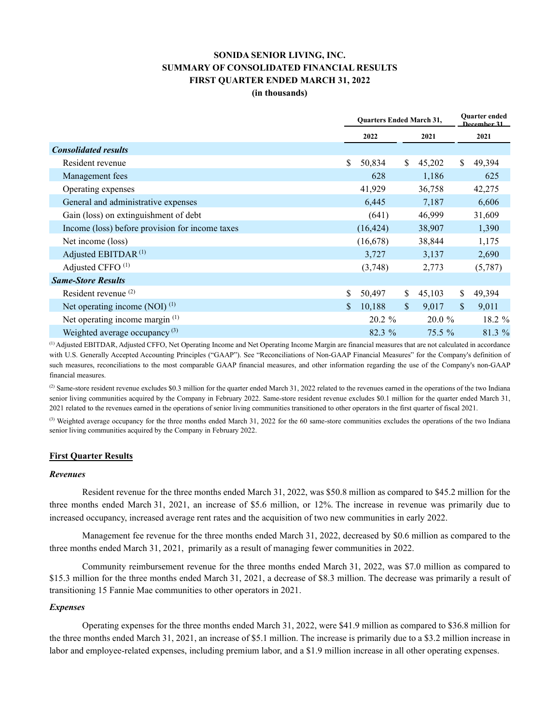# **SONIDA SENIOR LIVING, INC. SUMMARY OF CONSOLIDATED FINANCIAL RESULTS FIRST QUARTER ENDED MARCH 31, 2022**

#### **(in thousands)**

|                                                 |    | <b>Quarters Ended March 31,</b> |                    | <b>Ouarter</b> ended<br>December 31 |               |         |  |  |
|-------------------------------------------------|----|---------------------------------|--------------------|-------------------------------------|---------------|---------|--|--|
|                                                 |    | 2022                            | 2021               |                                     |               | 2021    |  |  |
| <b>Consolidated results</b>                     |    |                                 |                    |                                     |               |         |  |  |
| Resident revenue                                | \$ | 50,834                          | \$                 | 45,202                              | S.            | 49,394  |  |  |
| Management fees                                 |    | 628                             |                    | 1,186                               |               | 625     |  |  |
| Operating expenses                              |    | 41,929                          |                    | 36,758                              |               | 42,275  |  |  |
| General and administrative expenses             |    | 6,445                           |                    | 7,187                               |               | 6,606   |  |  |
| Gain (loss) on extinguishment of debt           |    | (641)                           |                    | 46,999                              |               | 31,609  |  |  |
| Income (loss) before provision for income taxes |    | (16, 424)                       |                    | 38,907                              |               | 1,390   |  |  |
| Net income (loss)                               |    | (16,678)                        |                    | 38,844                              |               | 1,175   |  |  |
| Adjusted EBITDAR <sup>(1)</sup>                 |    | 3,727                           |                    | 3,137                               |               | 2,690   |  |  |
| Adjusted CFFO <sup>(1)</sup>                    |    | (3,748)                         |                    | 2,773                               |               | (5,787) |  |  |
| <b>Same-Store Results</b>                       |    |                                 |                    |                                     |               |         |  |  |
| Resident revenue <sup>(2)</sup>                 | \$ | 50,497                          | \$                 | 45,103                              | S.            | 49,394  |  |  |
| Net operating income $(NOI)^{(1)}$              | S  | 10,188                          | $\mathbf{\hat{s}}$ | 9,017                               | <sup>\$</sup> | 9,011   |  |  |
| Net operating income margin $(1)$               |    | $20.2 \%$                       |                    | $20.0 \%$                           | 18.2 %        |         |  |  |
| Weighted average occupancy <sup>(3)</sup>       |    | 82.3 %<br>75.5 %                |                    |                                     |               | 81.3 %  |  |  |

(1) Adjusted EBITDAR, Adjusted CFFO, Net Operating Income and Net Operating Income Margin are financial measures that are not calculated in accordance with U.S. Generally Accepted Accounting Principles ("GAAP"). See "Reconciliations of Non-GAAP Financial Measures" for the Company's definition of such measures, reconciliations to the most comparable GAAP financial measures, and other information regarding the use of the Company's non-GAAP financial measures.

 $^{(2)}$  Same-store resident revenue excludes \$0.3 million for the quarter ended March 31, 2022 related to the revenues earned in the operations of the two Indiana senior living communities acquired by the Company in February 2022. Same-store resident revenue excludes \$0.1 million for the quarter ended March 31, 2021 related to the revenues earned in the operations of senior living communities transitioned to other operators in the first quarter of fiscal 2021.

<sup>(3)</sup> Weighted average occupancy for the three months ended March 31, 2022 for the 60 same-store communities excludes the operations of the two Indiana senior living communities acquired by the Company in February 2022.

#### **First Quarter Results**

#### *Revenues*

Resident revenue for the three months ended March 31, 2022, was \$50.8 million as compared to \$45.2 million for the three months ended March 31, 2021, an increase of \$5.6 million, or 12%. The increase in revenue was primarily due to increased occupancy, increased average rent rates and the acquisition of two new communities in early 2022.

Management fee revenue for the three months ended March 31, 2022, decreased by \$0.6 million as compared to the three months ended March 31, 2021, primarily as a result of managing fewer communities in 2022.

Community reimbursement revenue for the three months ended March 31, 2022, was \$7.0 million as compared to \$15.3 million for the three months ended March 31, 2021, a decrease of \$8.3 million. The decrease was primarily a result of transitioning 15 Fannie Mae communities to other operators in 2021.

#### *Expenses*

Operating expenses for the three months ended March 31, 2022, were \$41.9 million as compared to \$36.8 million for the three months ended March 31, 2021, an increase of \$5.1 million. The increase is primarily due to a \$3.2 million increase in labor and employee-related expenses, including premium labor, and a \$1.9 million increase in all other operating expenses.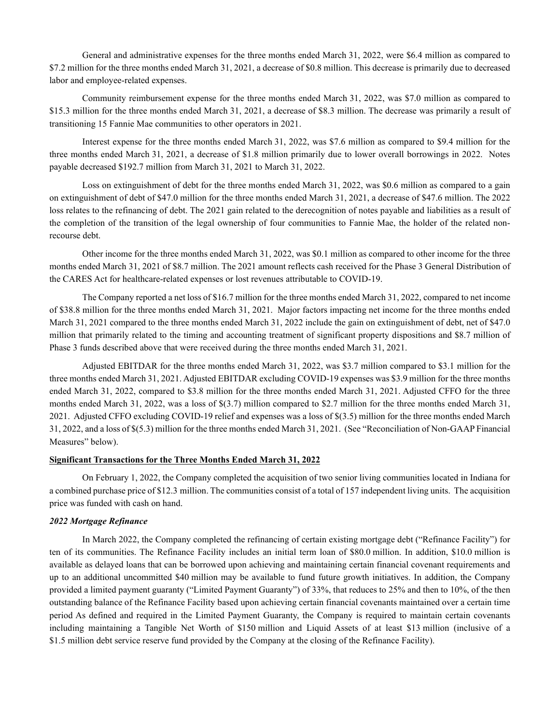General and administrative expenses for the three months ended March 31, 2022, were \$6.4 million as compared to \$7.2 million for the three months ended March 31, 2021, a decrease of \$0.8 million. This decrease is primarily due to decreased labor and employee-related expenses.

Community reimbursement expense for the three months ended March 31, 2022, was \$7.0 million as compared to \$15.3 million for the three months ended March 31, 2021, a decrease of \$8.3 million. The decrease was primarily a result of transitioning 15 Fannie Mae communities to other operators in 2021.

Interest expense for the three months ended March 31, 2022, was \$7.6 million as compared to \$9.4 million for the three months ended March 31, 2021, a decrease of \$1.8 million primarily due to lower overall borrowings in 2022. Notes payable decreased \$192.7 million from March 31, 2021 to March 31, 2022.

Loss on extinguishment of debt for the three months ended March 31, 2022, was \$0.6 million as compared to a gain on extinguishment of debt of \$47.0 million for the three months ended March 31, 2021, a decrease of \$47.6 million. The 2022 loss relates to the refinancing of debt. The 2021 gain related to the derecognition of notes payable and liabilities as a result of the completion of the transition of the legal ownership of four communities to Fannie Mae, the holder of the related nonrecourse debt.

Other income for the three months ended March 31, 2022, was \$0.1 million as compared to other income for the three months ended March 31, 2021 of \$8.7 million. The 2021 amount reflects cash received for the Phase 3 General Distribution of the CARES Act for healthcare-related expenses or lost revenues attributable to COVID-19.

The Company reported a net loss of \$16.7 million for the three months ended March 31, 2022, compared to net income of \$38.8 million for the three months ended March 31, 2021. Major factors impacting net income for the three months ended March 31, 2021 compared to the three months ended March 31, 2022 include the gain on extinguishment of debt, net of \$47.0 million that primarily related to the timing and accounting treatment of significant property dispositions and \$8.7 million of Phase 3 funds described above that were received during the three months ended March 31, 2021.

Adjusted EBITDAR for the three months ended March 31, 2022, was \$3.7 million compared to \$3.1 million for the three months ended March 31, 2021. Adjusted EBITDAR excluding COVID-19 expenses was \$3.9 million for the three months ended March 31, 2022, compared to \$3.8 million for the three months ended March 31, 2021. Adjusted CFFO for the three months ended March 31, 2022, was a loss of \$(3.7) million compared to \$2.7 million for the three months ended March 31, 2021. Adjusted CFFO excluding COVID-19 relief and expenses was a loss of \$(3.5) million for the three months ended March 31, 2022, and a loss of \$(5.3) million for the three months ended March 31, 2021. (See "Reconciliation of Non-GAAP Financial Measures" below).

### **Significant Transactions for the Three Months Ended March 31, 2022**

On February 1, 2022, the Company completed the acquisition of two senior living communities located in Indiana for a combined purchase price of \$12.3 million. The communities consist of a total of 157 independent living units. The acquisition price was funded with cash on hand.

#### *2022 Mortgage Refinance*

In March 2022, the Company completed the refinancing of certain existing mortgage debt ("Refinance Facility") for ten of its communities. The Refinance Facility includes an initial term loan of \$80.0 million. In addition, \$10.0 million is available as delayed loans that can be borrowed upon achieving and maintaining certain financial covenant requirements and up to an additional uncommitted \$40 million may be available to fund future growth initiatives. In addition, the Company provided a limited payment guaranty ("Limited Payment Guaranty") of 33%, that reduces to 25% and then to 10%, of the then outstanding balance of the Refinance Facility based upon achieving certain financial covenants maintained over a certain time period As defined and required in the Limited Payment Guaranty, the Company is required to maintain certain covenants including maintaining a Tangible Net Worth of \$150 million and Liquid Assets of at least \$13 million (inclusive of a \$1.5 million debt service reserve fund provided by the Company at the closing of the Refinance Facility).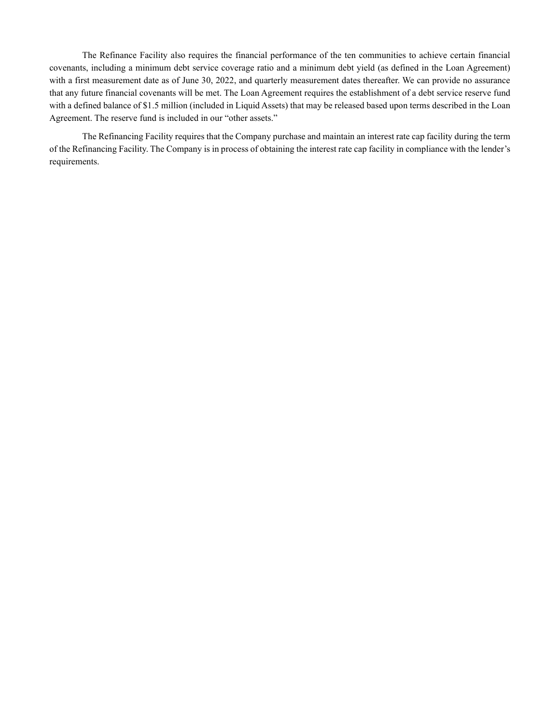The Refinance Facility also requires the financial performance of the ten communities to achieve certain financial covenants, including a minimum debt service coverage ratio and a minimum debt yield (as defined in the Loan Agreement) with a first measurement date as of June 30, 2022, and quarterly measurement dates thereafter. We can provide no assurance that any future financial covenants will be met. The Loan Agreement requires the establishment of a debt service reserve fund with a defined balance of \$1.5 million (included in Liquid Assets) that may be released based upon terms described in the Loan Agreement. The reserve fund is included in our "other assets."

The Refinancing Facility requires that the Company purchase and maintain an interest rate cap facility during the term of the Refinancing Facility. The Company is in process of obtaining the interest rate cap facility in compliance with the lender's requirements.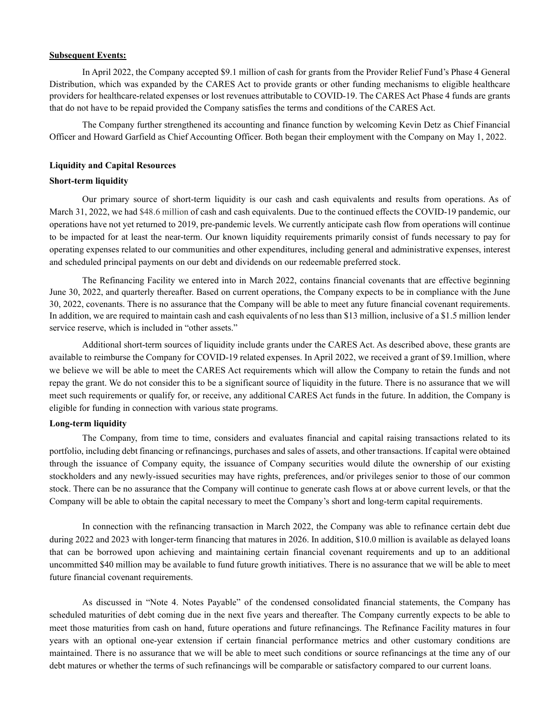## **Subsequent Events:**

In April 2022, the Company accepted \$9.1 million of cash for grants from the Provider Relief Fund's Phase 4 General Distribution, which was expanded by the CARES Act to provide grants or other funding mechanisms to eligible healthcare providers for healthcare-related expenses or lost revenues attributable to COVID-19. The CARES Act Phase 4 funds are grants that do not have to be repaid provided the Company satisfies the terms and conditions of the CARES Act.

The Company further strengthened its accounting and finance function by welcoming Kevin Detz as Chief Financial Officer and Howard Garfield as Chief Accounting Officer. Both began their employment with the Company on May 1, 2022.

### **Liquidity and Capital Resources**

## **Short-term liquidity**

Our primary source of short-term liquidity is our cash and cash equivalents and results from operations. As of March 31, 2022, we had \$48.6 million of cash and cash equivalents. Due to the continued effects the COVID-19 pandemic, our operations have not yet returned to 2019, pre-pandemic levels. We currently anticipate cash flow from operations will continue to be impacted for at least the near-term. Our known liquidity requirements primarily consist of funds necessary to pay for operating expenses related to our communities and other expenditures, including general and administrative expenses, interest and scheduled principal payments on our debt and dividends on our redeemable preferred stock.

The Refinancing Facility we entered into in March 2022, contains financial covenants that are effective beginning June 30, 2022, and quarterly thereafter. Based on current operations, the Company expects to be in compliance with the June 30, 2022, covenants. There is no assurance that the Company will be able to meet any future financial covenant requirements. In addition, we are required to maintain cash and cash equivalents of no less than \$13 million, inclusive of a \$1.5 million lender service reserve, which is included in "other assets."

Additional short-term sources of liquidity include grants under the CARES Act. As described above, these grants are available to reimburse the Company for COVID-19 related expenses. In April 2022, we received a grant of \$9.1million, where we believe we will be able to meet the CARES Act requirements which will allow the Company to retain the funds and not repay the grant. We do not consider this to be a significant source of liquidity in the future. There is no assurance that we will meet such requirements or qualify for, or receive, any additional CARES Act funds in the future. In addition, the Company is eligible for funding in connection with various state programs.

## **Long-term liquidity**

The Company, from time to time, considers and evaluates financial and capital raising transactions related to its portfolio, including debt financing or refinancings, purchases and sales of assets, and other transactions. If capital were obtained through the issuance of Company equity, the issuance of Company securities would dilute the ownership of our existing stockholders and any newly-issued securities may have rights, preferences, and/or privileges senior to those of our common stock. There can be no assurance that the Company will continue to generate cash flows at or above current levels, or that the Company will be able to obtain the capital necessary to meet the Company's short and long-term capital requirements.

In connection with the refinancing transaction in March 2022, the Company was able to refinance certain debt due during 2022 and 2023 with longer-term financing that matures in 2026. In addition, \$10.0 million is available as delayed loans that can be borrowed upon achieving and maintaining certain financial covenant requirements and up to an additional uncommitted \$40 million may be available to fund future growth initiatives. There is no assurance that we will be able to meet future financial covenant requirements.

As discussed in "Note 4. Notes Payable" of the condensed consolidated financial statements, the Company has scheduled maturities of debt coming due in the next five years and thereafter. The Company currently expects to be able to meet those maturities from cash on hand, future operations and future refinancings. The Refinance Facility matures in four years with an optional one-year extension if certain financial performance metrics and other customary conditions are maintained. There is no assurance that we will be able to meet such conditions or source refinancings at the time any of our debt matures or whether the terms of such refinancings will be comparable or satisfactory compared to our current loans.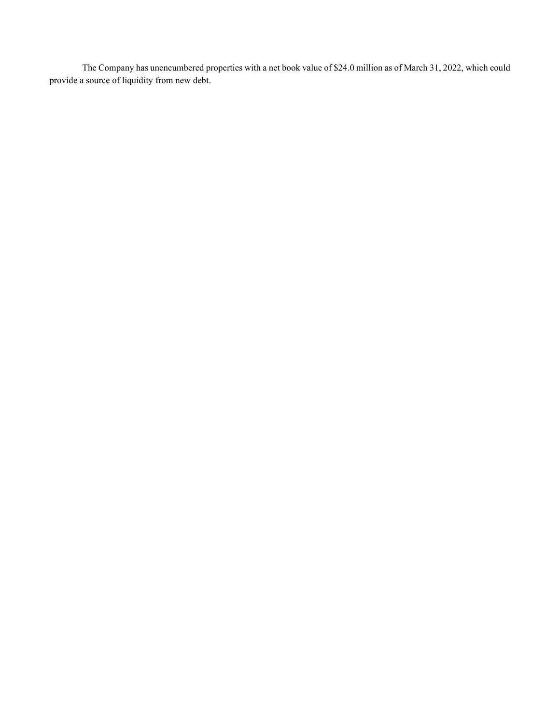The Company has unencumbered properties with a net book value of \$24.0 million as of March 31, 2022, which could provide a source of liquidity from new debt.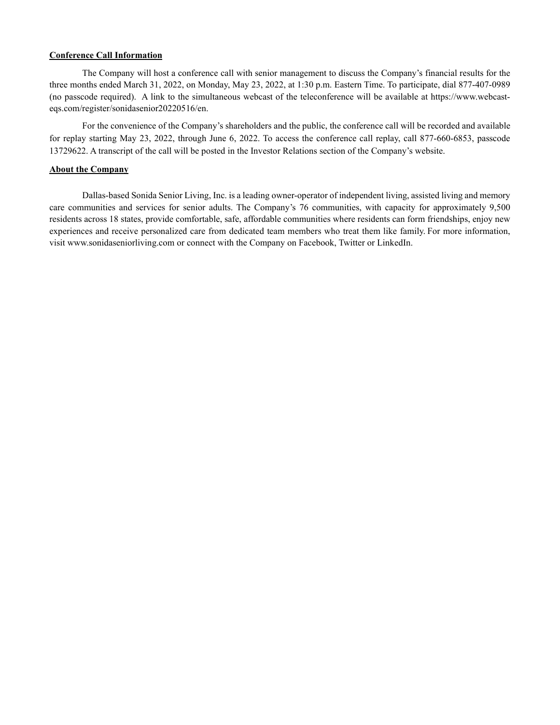### **Conference Call Information**

The Company will host a conference call with senior management to discuss the Company's financial results for the three months ended March 31, 2022, on Monday, May 23, 2022, at 1:30 p.m. Eastern Time. To participate, dial 877-407-0989 (no passcode required). A link to the simultaneous webcast of the teleconference will be available at https://www.webcasteqs.com/register/sonidasenior20220516/en.

For the convenience of the Company's shareholders and the public, the conference call will be recorded and available for replay starting May 23, 2022, through June 6, 2022. To access the conference call replay, call 877-660-6853, passcode 13729622. A transcript of the call will be posted in the Investor Relations section of the Company's website.

#### **About the Company**

Dallas-based Sonida Senior Living, Inc. is a leading owner-operator of independent living, assisted living and memory care communities and services for senior adults. The Company's 76 communities, with capacity for approximately 9,500 residents across 18 states, provide comfortable, safe, affordable communities where residents can form friendships, enjoy new experiences and receive personalized care from dedicated team members who treat them like family. For more information, visit www.sonidaseniorliving.com or connect with the Company on Facebook, Twitter or LinkedIn.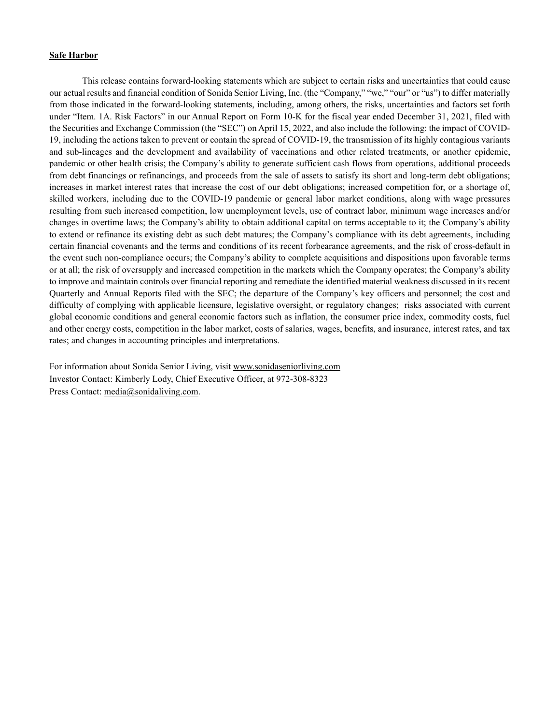#### **Safe Harbor**

This release contains forward-looking statements which are subject to certain risks and uncertainties that could cause our actual results and financial condition of Sonida Senior Living, Inc. (the "Company," "we," "our" or "us") to differ materially from those indicated in the forward-looking statements, including, among others, the risks, uncertainties and factors set forth under "Item. 1A. Risk Factors" in our Annual Report on Form 10-K for the fiscal year ended December 31, 2021, filed with the Securities and Exchange Commission (the "SEC") on April 15, 2022, and also include the following: the impact of COVID-19, including the actions taken to prevent or contain the spread of COVID-19, the transmission of its highly contagious variants and sub-lineages and the development and availability of vaccinations and other related treatments, or another epidemic, pandemic or other health crisis; the Company's ability to generate sufficient cash flows from operations, additional proceeds from debt financings or refinancings, and proceeds from the sale of assets to satisfy its short and long-term debt obligations; increases in market interest rates that increase the cost of our debt obligations; increased competition for, or a shortage of, skilled workers, including due to the COVID-19 pandemic or general labor market conditions, along with wage pressures resulting from such increased competition, low unemployment levels, use of contract labor, minimum wage increases and/or changes in overtime laws; the Company's ability to obtain additional capital on terms acceptable to it; the Company's ability to extend or refinance its existing debt as such debt matures; the Company's compliance with its debt agreements, including certain financial covenants and the terms and conditions of its recent forbearance agreements, and the risk of cross-default in the event such non-compliance occurs; the Company's ability to complete acquisitions and dispositions upon favorable terms or at all; the risk of oversupply and increased competition in the markets which the Company operates; the Company's ability to improve and maintain controls over financial reporting and remediate the identified material weakness discussed in its recent Quarterly and Annual Reports filed with the SEC; the departure of the Company's key officers and personnel; the cost and difficulty of complying with applicable licensure, legislative oversight, or regulatory changes; risks associated with current global economic conditions and general economic factors such as inflation, the consumer price index, commodity costs, fuel and other energy costs, competition in the labor market, costs of salaries, wages, benefits, and insurance, interest rates, and tax rates; and changes in accounting principles and interpretations.

For information about Sonida Senior Living, visit www.sonidaseniorliving.com Investor Contact: Kimberly Lody, Chief Executive Officer, at 972-308-8323 Press Contact: media@sonidaliving.com.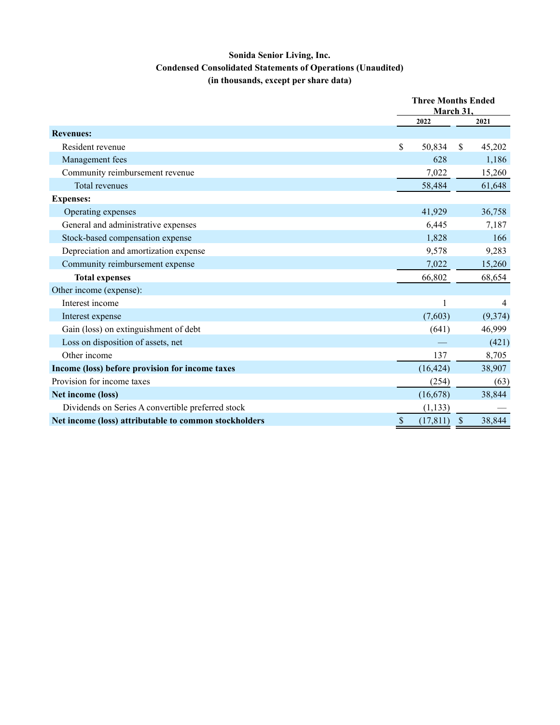# **Sonida Senior Living, Inc. Condensed Consolidated Statements of Operations (Unaudited) (in thousands, except per share data)**

|                                                       |                                        | <b>Three Months Ended</b><br>March 31, |         |  |  |  |
|-------------------------------------------------------|----------------------------------------|----------------------------------------|---------|--|--|--|
|                                                       | 2022                                   |                                        | 2021    |  |  |  |
| <b>Revenues:</b>                                      |                                        |                                        |         |  |  |  |
| Resident revenue                                      | \$<br>50,834                           | \$                                     | 45,202  |  |  |  |
| Management fees                                       | 628                                    |                                        | 1,186   |  |  |  |
| Community reimbursement revenue                       | 7,022                                  |                                        | 15,260  |  |  |  |
| Total revenues                                        | 58,484                                 |                                        | 61,648  |  |  |  |
| <b>Expenses:</b>                                      |                                        |                                        |         |  |  |  |
| Operating expenses                                    | 41,929                                 |                                        | 36,758  |  |  |  |
| General and administrative expenses                   | 6,445                                  |                                        | 7,187   |  |  |  |
| Stock-based compensation expense                      | 1,828                                  |                                        | 166     |  |  |  |
| Depreciation and amortization expense                 | 9,578                                  |                                        | 9,283   |  |  |  |
| Community reimbursement expense                       | 7,022                                  |                                        | 15,260  |  |  |  |
| <b>Total expenses</b>                                 | 66,802                                 |                                        | 68,654  |  |  |  |
| Other income (expense):                               |                                        |                                        |         |  |  |  |
| Interest income                                       | 1                                      |                                        | 4       |  |  |  |
| Interest expense                                      | (7,603)                                |                                        | (9,374) |  |  |  |
| Gain (loss) on extinguishment of debt                 | (641)                                  |                                        | 46,999  |  |  |  |
| Loss on disposition of assets, net                    |                                        |                                        | (421)   |  |  |  |
| Other income                                          | 137                                    |                                        | 8,705   |  |  |  |
| Income (loss) before provision for income taxes       | (16, 424)                              |                                        | 38,907  |  |  |  |
| Provision for income taxes                            | (254)                                  |                                        | (63)    |  |  |  |
| Net income (loss)                                     | (16, 678)                              |                                        | 38,844  |  |  |  |
| Dividends on Series A convertible preferred stock     | (1, 133)                               |                                        |         |  |  |  |
| Net income (loss) attributable to common stockholders | $\boldsymbol{\mathsf{S}}$<br>(17, 811) | $\mathcal{S}$                          | 38,844  |  |  |  |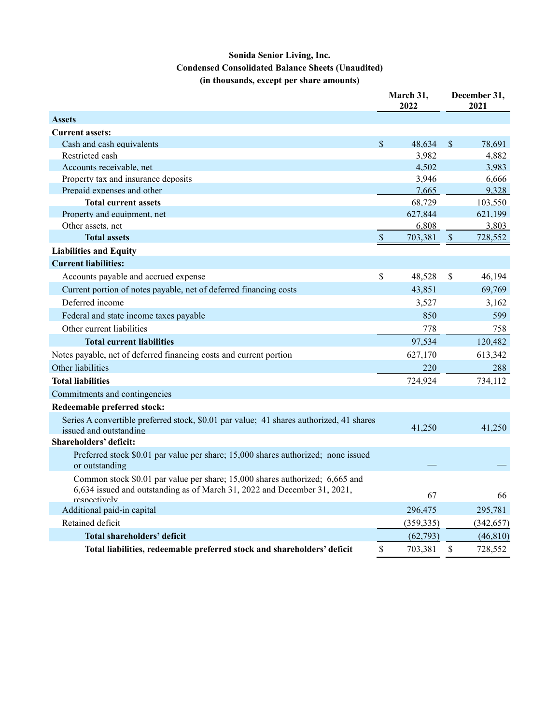# **Sonida Senior Living, Inc. Condensed Consolidated Balance Sheets (Unaudited) (in thousands, except per share amounts)**

|                                                                                                                                                                          |               | March 31,<br>2022 | December 31,<br>2021 |            |  |
|--------------------------------------------------------------------------------------------------------------------------------------------------------------------------|---------------|-------------------|----------------------|------------|--|
| <b>Assets</b>                                                                                                                                                            |               |                   |                      |            |  |
| <b>Current assets:</b>                                                                                                                                                   |               |                   |                      |            |  |
| Cash and cash equivalents                                                                                                                                                | $\mathcal{S}$ | 48.634            | $\mathbb{S}$         | 78.691     |  |
| Restricted cash                                                                                                                                                          |               | 3.982             |                      | 4,882      |  |
| Accounts receivable, net                                                                                                                                                 |               | 4,502             |                      | 3,983      |  |
| Property tax and insurance deposits                                                                                                                                      |               | 3,946             |                      | 6,666      |  |
| Prepaid expenses and other                                                                                                                                               |               | 7,665             |                      | 9,328      |  |
| <b>Total current assets</b>                                                                                                                                              |               | 68,729            |                      | 103,550    |  |
| Property and equipment, net                                                                                                                                              |               | 627,844           |                      | 621,199    |  |
| Other assets, net                                                                                                                                                        |               | 6,808             |                      | 3,803      |  |
| <b>Total assets</b>                                                                                                                                                      | $\mathcal{S}$ | 703,381           | $\mathbb{S}$         | 728,552    |  |
| <b>Liabilities and Equity</b>                                                                                                                                            |               |                   |                      |            |  |
| <b>Current liabilities:</b>                                                                                                                                              |               |                   |                      |            |  |
| Accounts payable and accrued expense                                                                                                                                     | \$            | 48,528            | \$                   | 46,194     |  |
| Current portion of notes payable, net of deferred financing costs                                                                                                        |               | 43,851            |                      | 69,769     |  |
| Deferred income                                                                                                                                                          |               | 3,527             |                      | 3,162      |  |
| Federal and state income taxes payable                                                                                                                                   |               | 850               |                      | 599        |  |
| Other current liabilities                                                                                                                                                |               | 778               |                      | 758        |  |
| <b>Total current liabilities</b>                                                                                                                                         |               | 97,534            |                      | 120,482    |  |
| Notes payable, net of deferred financing costs and current portion                                                                                                       |               | 627,170           |                      | 613,342    |  |
| Other liabilities                                                                                                                                                        |               | 220               |                      | 288        |  |
| <b>Total liabilities</b>                                                                                                                                                 |               | 724,924           |                      | 734,112    |  |
| Commitments and contingencies                                                                                                                                            |               |                   |                      |            |  |
| Redeemable preferred stock:                                                                                                                                              |               |                   |                      |            |  |
| Series A convertible preferred stock, \$0.01 par value; 41 shares authorized, 41 shares<br>issued and outstanding                                                        |               | 41,250            |                      | 41,250     |  |
| <b>Shareholders' deficit:</b>                                                                                                                                            |               |                   |                      |            |  |
| Preferred stock \$0.01 par value per share; 15,000 shares authorized; none issued<br>or outstanding                                                                      |               |                   |                      |            |  |
| Common stock \$0.01 par value per share; 15,000 shares authorized; 6,665 and<br>6,634 issued and outstanding as of March 31, 2022 and December 31, 2021,<br>respectively |               | 67                |                      | 66         |  |
| Additional paid-in capital                                                                                                                                               |               | 296,475           |                      | 295,781    |  |
| Retained deficit                                                                                                                                                         |               | (359, 335)        |                      | (342, 657) |  |
| <b>Total shareholders' deficit</b>                                                                                                                                       |               | (62, 793)         |                      | (46, 810)  |  |
| Total liabilities, redeemable preferred stock and shareholders' deficit                                                                                                  | \$            | 703,381           | \$                   | 728,552    |  |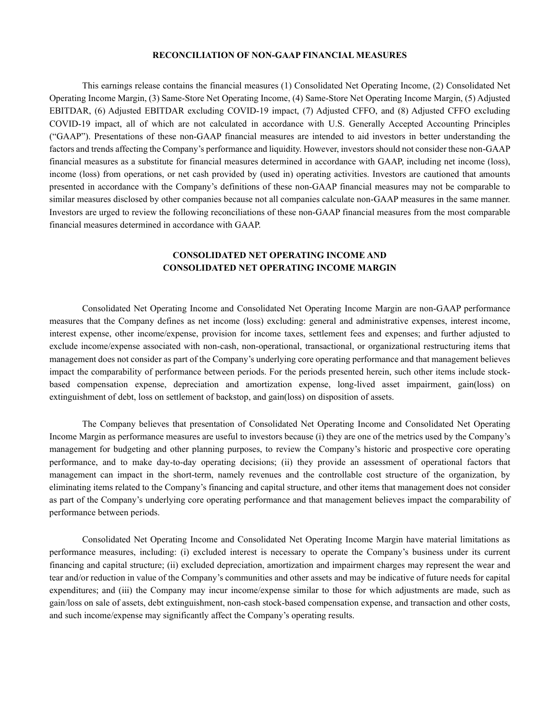#### **RECONCILIATION OF NON-GAAP FINANCIAL MEASURES**

This earnings release contains the financial measures (1) Consolidated Net Operating Income, (2) Consolidated Net Operating Income Margin, (3) Same-Store Net Operating Income, (4) Same-Store Net Operating Income Margin, (5) Adjusted EBITDAR, (6) Adjusted EBITDAR excluding COVID-19 impact, (7) Adjusted CFFO, and (8) Adjusted CFFO excluding COVID-19 impact, all of which are not calculated in accordance with U.S. Generally Accepted Accounting Principles ("GAAP"). Presentations of these non-GAAP financial measures are intended to aid investors in better understanding the factors and trends affecting the Company's performance and liquidity. However, investors should not consider these non-GAAP financial measures as a substitute for financial measures determined in accordance with GAAP, including net income (loss), income (loss) from operations, or net cash provided by (used in) operating activities. Investors are cautioned that amounts presented in accordance with the Company's definitions of these non-GAAP financial measures may not be comparable to similar measures disclosed by other companies because not all companies calculate non-GAAP measures in the same manner. Investors are urged to review the following reconciliations of these non-GAAP financial measures from the most comparable financial measures determined in accordance with GAAP.

## **CONSOLIDATED NET OPERATING INCOME AND CONSOLIDATED NET OPERATING INCOME MARGIN**

Consolidated Net Operating Income and Consolidated Net Operating Income Margin are non-GAAP performance measures that the Company defines as net income (loss) excluding: general and administrative expenses, interest income, interest expense, other income/expense, provision for income taxes, settlement fees and expenses; and further adjusted to exclude income/expense associated with non-cash, non-operational, transactional, or organizational restructuring items that management does not consider as part of the Company's underlying core operating performance and that management believes impact the comparability of performance between periods. For the periods presented herein, such other items include stockbased compensation expense, depreciation and amortization expense, long-lived asset impairment, gain(loss) on extinguishment of debt, loss on settlement of backstop, and gain(loss) on disposition of assets.

The Company believes that presentation of Consolidated Net Operating Income and Consolidated Net Operating Income Margin as performance measures are useful to investors because (i) they are one of the metrics used by the Company's management for budgeting and other planning purposes, to review the Company's historic and prospective core operating performance, and to make day-to-day operating decisions; (ii) they provide an assessment of operational factors that management can impact in the short-term, namely revenues and the controllable cost structure of the organization, by eliminating items related to the Company's financing and capital structure, and other items that management does not consider as part of the Company's underlying core operating performance and that management believes impact the comparability of performance between periods.

Consolidated Net Operating Income and Consolidated Net Operating Income Margin have material limitations as performance measures, including: (i) excluded interest is necessary to operate the Company's business under its current financing and capital structure; (ii) excluded depreciation, amortization and impairment charges may represent the wear and tear and/or reduction in value of the Company's communities and other assets and may be indicative of future needs for capital expenditures; and (iii) the Company may incur income/expense similar to those for which adjustments are made, such as gain/loss on sale of assets, debt extinguishment, non-cash stock-based compensation expense, and transaction and other costs, and such income/expense may significantly affect the Company's operating results.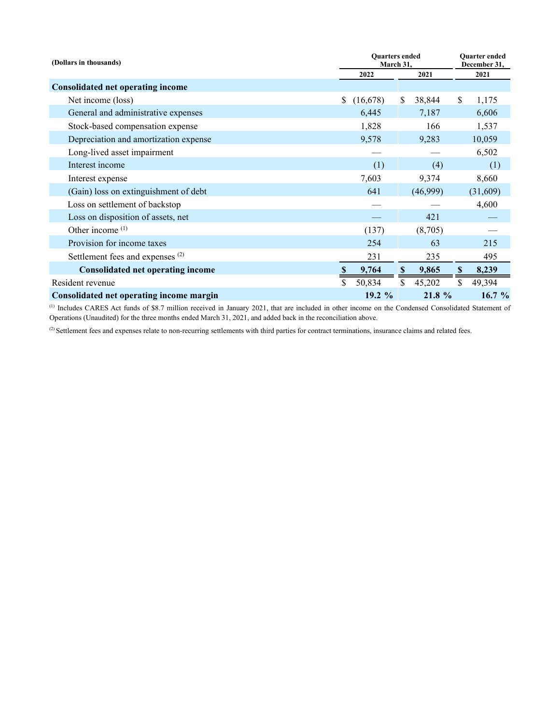| (Dollars in thousands)                          | <b>Quarters</b> ended<br>March 31, |          |               |           |    | Quarter ended<br>December 31, |  |  |  |
|-------------------------------------------------|------------------------------------|----------|---------------|-----------|----|-------------------------------|--|--|--|
|                                                 |                                    | 2022     |               | 2021      |    | 2021                          |  |  |  |
| <b>Consolidated net operating income</b>        |                                    |          |               |           |    |                               |  |  |  |
| Net income (loss)                               | \$                                 | (16,678) | S             | 38,844    | S. | 1,175                         |  |  |  |
| General and administrative expenses             |                                    | 6,445    |               | 7,187     |    | 6,606                         |  |  |  |
| Stock-based compensation expense                |                                    | 1,828    |               | 166       |    | 1,537                         |  |  |  |
| Depreciation and amortization expense           |                                    | 9,578    |               | 9,283     |    | 10,059                        |  |  |  |
| Long-lived asset impairment                     |                                    |          |               |           |    | 6,502                         |  |  |  |
| Interest income                                 |                                    | (1)      |               | (4)       |    | (1)                           |  |  |  |
| Interest expense                                |                                    | 7,603    |               | 9,374     |    | 8,660                         |  |  |  |
| (Gain) loss on extinguishment of debt           |                                    | 641      |               | (46,999)  |    | (31,609)                      |  |  |  |
| Loss on settlement of backstop                  |                                    |          |               |           |    | 4,600                         |  |  |  |
| Loss on disposition of assets, net              |                                    |          |               | 421       |    |                               |  |  |  |
| Other income $(1)$                              |                                    | (137)    |               | (8,705)   |    |                               |  |  |  |
| Provision for income taxes                      |                                    | 254      |               | 63        |    | 215                           |  |  |  |
| Settlement fees and expenses <sup>(2)</sup>     |                                    | 231      |               | 235       |    | 495                           |  |  |  |
| <b>Consolidated net operating income</b>        |                                    | 9,764    | <sup>\$</sup> | 9,865     | S  | 8,239                         |  |  |  |
| Resident revenue                                | \$                                 | 50,834   | \$            | 45,202    | \$ | 49,394                        |  |  |  |
| <b>Consolidated net operating income margin</b> |                                    | 19.2%    |               | $21.8 \%$ |    | 16.7%                         |  |  |  |

(1) Includes CARES Act funds of \$8.7 million received in January 2021, that are included in other income on the Condensed Consolidated Statement of Operations (Unaudited) for the three months ended March 31, 2021, and added back in the reconciliation above.

<sup>(2)</sup> Settlement fees and expenses relate to non-recurring settlements with third parties for contract terminations, insurance claims and related fees.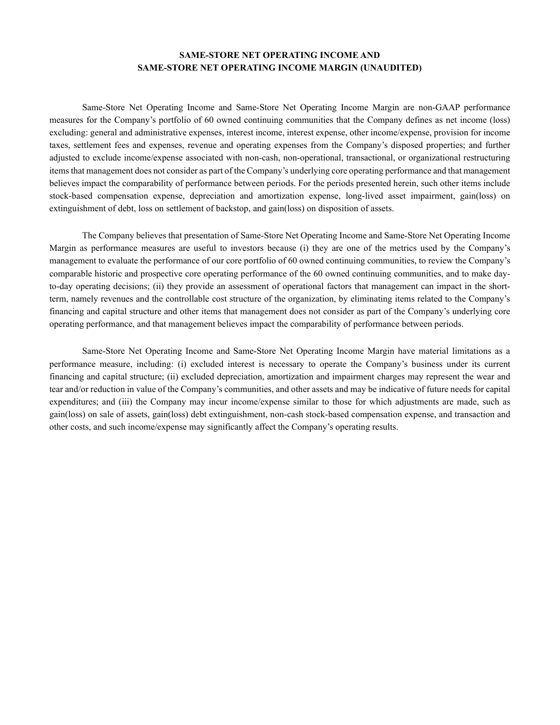## **SAME-STORE NET OPERATING INCOME AND SAME-STORE NET OPERATING INCOME MARGIN (UNAUDITED)**

Same-Store Net Operating Income and Same-Store Net Operating Income Margin are non-GAAP performance measures for the Company's portfolio of 60 owned continuing communities that the Company defines as net income (loss) excluding: general and administrative expenses, interest income, interest expense, other income/expense, provision for income taxes, settlement fees and expenses, revenue and operating expenses from the Company's disposed properties; and further adjusted to exclude income/expense associated with non-cash, non-operational, transactional, or organizational restructuring items that management does not consider as part of the Company's underlying core operating performance and that management believes impact the comparability of performance between periods. For the periods presented herein, such other items include stock-based compensation expense, depreciation and amortization expense, long-lived asset impairment, gain(loss) on extinguishment of debt, loss on settlement of backstop, and gain(loss) on disposition of assets.

The Company believes that presentation of Same-Store Net Operating Income and Same-Store Net Operating Income Margin as performance measures are useful to investors because (i) they are one of the metrics used by the Company's management to evaluate the performance of our core portfolio of 60 owned continuing communities, to review the Company's comparable historic and prospective core operating performance of the 60 owned continuing communities, and to make dayto-day operating decisions; (ii) they provide an assessment of operational factors that management can impact in the shortterm, namely revenues and the controllable cost structure of the organization, by eliminating items related to the Company's financing and capital structure and other items that management does not consider as part of the Company's underlying core operating performance, and that management believes impact the comparability of performance between periods.

Same-Store Net Operating Income and Same-Store Net Operating Income Margin have material limitations as a performance measure, including: (i) excluded interest is necessary to operate the Company's business under its current financing and capital structure; (ii) excluded depreciation, amortization and impairment charges may represent the wear and tear and/or reduction in value of the Company's communities, and other assets and may be indicative of future needs for capital expenditures; and (iii) the Company may incur income/expense similar to those for which adjustments are made, such as gain(loss) on sale of assets, gain(loss) debt extinguishment, non-cash stock-based compensation expense, and transaction and other costs, and such income/expense may significantly affect the Company's operating results.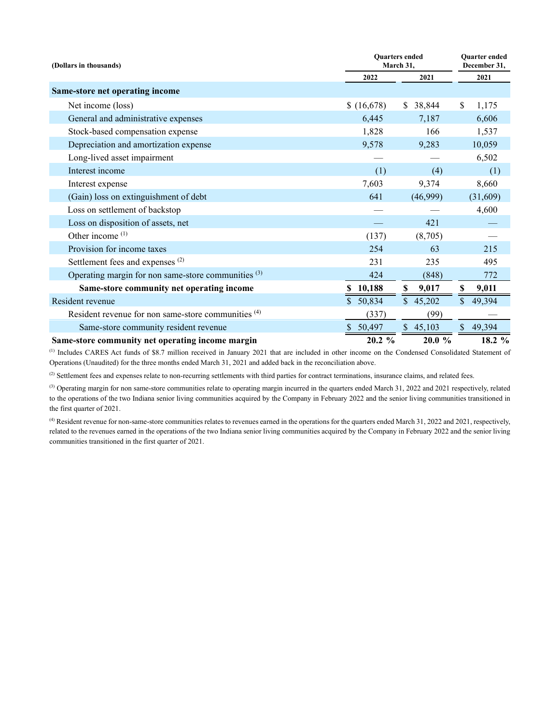| (Dollars in thousands)                                         |              | <b>Ouarters</b> ended<br>March 31, | <b>Ouarter</b> ended<br>December 31, |  |  |
|----------------------------------------------------------------|--------------|------------------------------------|--------------------------------------|--|--|
|                                                                | 2022         | 2021                               | 2021                                 |  |  |
| Same-store net operating income                                |              |                                    |                                      |  |  |
| Net income (loss)                                              | \$(16,678)   | \$38,844                           | \$<br>1.175                          |  |  |
| General and administrative expenses                            | 6,445        | 7,187                              | 6,606                                |  |  |
| Stock-based compensation expense                               | 1,828        | 166                                | 1,537                                |  |  |
| Depreciation and amortization expense                          | 9,578        | 9,283                              |                                      |  |  |
| Long-lived asset impairment                                    |              |                                    | 6,502                                |  |  |
| Interest income                                                | (1)          | (4)                                | (1)                                  |  |  |
| Interest expense                                               | 7,603        | 9,374                              | 8,660                                |  |  |
| (Gain) loss on extinguishment of debt                          | 641          | (46,999)                           | (31,609)                             |  |  |
| Loss on settlement of backstop                                 |              |                                    | 4,600                                |  |  |
| Loss on disposition of assets, net                             |              | 421                                |                                      |  |  |
| Other income <sup>(1)</sup>                                    | (137)        | (8,705)                            |                                      |  |  |
| Provision for income taxes                                     | 254          | 63                                 | 215                                  |  |  |
| Settlement fees and expenses <sup>(2)</sup>                    | 231          | 235                                | 495                                  |  |  |
| Operating margin for non same-store communities (3)            | 424          | (848)                              | 772                                  |  |  |
| Same-store community net operating income                      | \$10,188     | \$<br>9,017                        | 9,011<br>S                           |  |  |
| Resident revenue                                               | \$50,834     | \$45,202                           | 49,394<br>$\mathcal{S}$              |  |  |
| Resident revenue for non same-store communities <sup>(4)</sup> | (337)        | (99)                               |                                      |  |  |
| Same-store community resident revenue                          | 50,497<br>-S | $\mathbb{S}$<br>45,103             | $\mathcal{S}$<br>49,394              |  |  |
| Same-store community net operating income margin               | 20.2 %       | 20.0%                              | 18.2 %                               |  |  |

(1) Includes CARES Act funds of \$8.7 million received in January 2021 that are included in other income on the Condensed Consolidated Statement of Operations (Unaudited) for the three months ended March 31, 2021 and added back in the reconciliation above.

(2) Settlement fees and expenses relate to non-recurring settlements with third parties for contract terminations, insurance claims, and related fees.

<sup>(3)</sup> Operating margin for non same-store communities relate to operating margin incurred in the quarters ended March 31, 2022 and 2021 respectively, related to the operations of the two Indiana senior living communities acquired by the Company in February 2022 and the senior living communities transitioned in the first quarter of 2021.

(4) Resident revenue for non-same-store communities relates to revenues earned in the operations for the quarters ended March 31, 2022 and 2021, respectively, related to the revenues earned in the operations of the two Indiana senior living communities acquired by the Company in February 2022 and the senior living communities transitioned in the first quarter of 2021.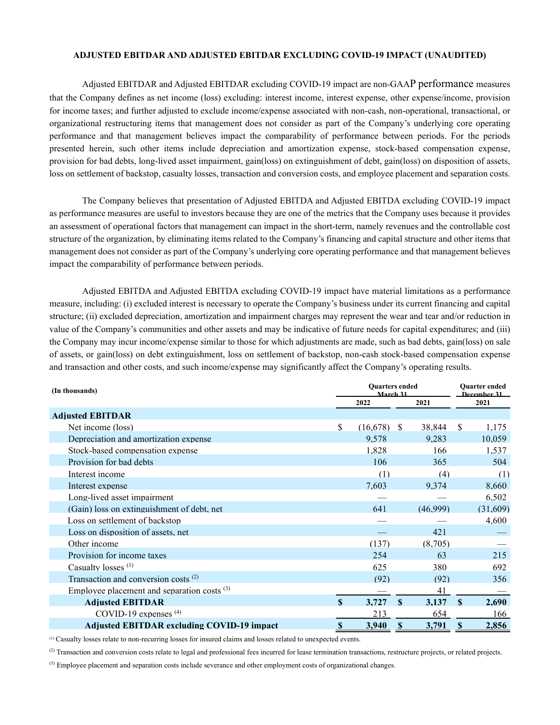#### **ADJUSTED EBITDAR AND ADJUSTED EBITDAR EXCLUDING COVID-19 IMPACT (UNAUDITED)**

Adjusted EBITDAR and Adjusted EBITDAR excluding COVID-19 impact are non-GAAP performance measures that the Company defines as net income (loss) excluding: interest income, interest expense, other expense/income, provision for income taxes; and further adjusted to exclude income/expense associated with non-cash, non-operational, transactional, or organizational restructuring items that management does not consider as part of the Company's underlying core operating performance and that management believes impact the comparability of performance between periods. For the periods presented herein, such other items include depreciation and amortization expense, stock-based compensation expense, provision for bad debts, long-lived asset impairment, gain(loss) on extinguishment of debt, gain(loss) on disposition of assets, loss on settlement of backstop, casualty losses, transaction and conversion costs, and employee placement and separation costs.

The Company believes that presentation of Adjusted EBITDA and Adjusted EBITDA excluding COVID-19 impact as performance measures are useful to investors because they are one of the metrics that the Company uses because it provides an assessment of operational factors that management can impact in the short-term, namely revenues and the controllable cost structure of the organization, by eliminating items related to the Company's financing and capital structure and other items that management does not consider as part of the Company's underlying core operating performance and that management believes impact the comparability of performance between periods.

Adjusted EBITDA and Adjusted EBITDA excluding COVID-19 impact have material limitations as a performance measure, including: (i) excluded interest is necessary to operate the Company's business under its current financing and capital structure; (ii) excluded depreciation, amortization and impairment charges may represent the wear and tear and/or reduction in value of the Company's communities and other assets and may be indicative of future needs for capital expenditures; and (iii) the Company may incur income/expense similar to those for which adjustments are made, such as bad debts, gain(loss) on sale of assets, or gain(loss) on debt extinguishment, loss on settlement of backstop, non-cash stock-based compensation expense and transaction and other costs, and such income/expense may significantly affect the Company's operating results.

| (In thousands)                                    | <b>Ouarters</b> ended<br>March 31 |          |              |          |               | <b>Ouarter ended</b><br>December 31 |  |
|---------------------------------------------------|-----------------------------------|----------|--------------|----------|---------------|-------------------------------------|--|
|                                                   |                                   | 2022     |              | 2021     |               | 2021                                |  |
| <b>Adjusted EBITDAR</b>                           |                                   |          |              |          |               |                                     |  |
| Net income (loss)                                 | \$                                | (16,678) | <sup>S</sup> | 38,844   | <sup>\$</sup> | 1,175                               |  |
| Depreciation and amortization expense             |                                   | 9.578    |              | 9.283    |               | 10.059                              |  |
| Stock-based compensation expense                  |                                   | 1.828    |              | 166      |               | 1.537                               |  |
| Provision for bad debts                           |                                   | 106      |              | 365      |               | 504                                 |  |
| Interest income                                   |                                   | (1)      |              | (4)      | (1)           |                                     |  |
| Interest expense                                  |                                   | 7.603    |              | 9.374    |               | 8,660                               |  |
| Long-lived asset impairment                       |                                   |          |              |          |               | 6,502                               |  |
| (Gain) loss on extinguishment of debt, net        |                                   | 641      |              | (46,999) |               | (31,609)                            |  |
| Loss on settlement of backstop                    |                                   |          |              |          |               | 4,600                               |  |
| Loss on disposition of assets, net                |                                   |          |              | 421      |               |                                     |  |
| Other income                                      |                                   | (137)    |              | (8,705)  |               |                                     |  |
| Provision for income taxes                        |                                   | 254      |              | 63       |               | 215                                 |  |
| Casualty losses <sup>(1)</sup>                    |                                   | 625      |              | 380      |               | 692                                 |  |
| Transaction and conversion costs $(2)$            |                                   | (92)     |              | (92)     |               | 356                                 |  |
| Employee placement and separation costs $(3)$     |                                   |          |              | 41       |               |                                     |  |
| <b>Adjusted EBITDAR</b>                           | $\mathbf{S}$                      | 3,727    | $\mathbf{s}$ | 3,137    | <sup>\$</sup> | 2,690                               |  |
| COVID-19 expenses $(4)$                           |                                   | 213      |              | 654      |               | 166                                 |  |
| <b>Adjusted EBITDAR excluding COVID-19 impact</b> | -S                                | 3,940    | -S           | 3,791    | -S            | 2,856                               |  |

(1) Casualty losses relate to non-recurring losses for insured claims and losses related to unexpected events.

(2) Transaction and conversion costs relate to legal and professional fees incurred for lease termination transactions, restructure projects, or related projects.

(3) Employee placement and separation costs include severance and other employment costs of organizational changes.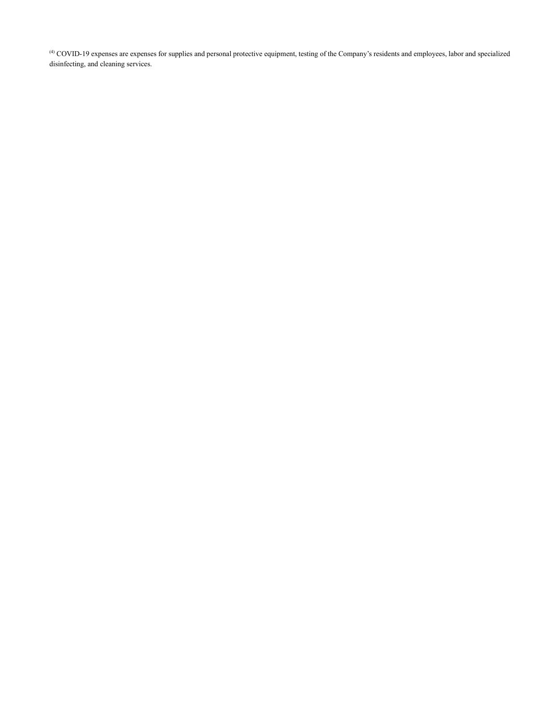(4) COVID-19 expenses are expenses for supplies and personal protective equipment, testing of the Company's residents and employees, labor and specialized disinfecting, and cleaning services.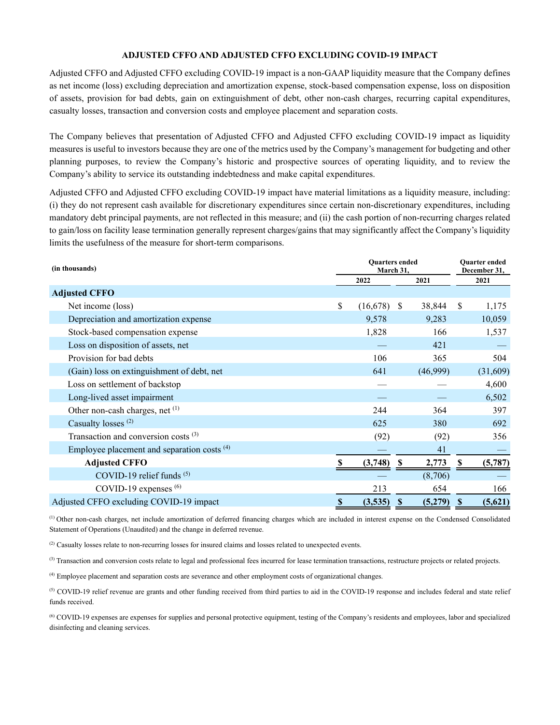### **ADJUSTED CFFO AND ADJUSTED CFFO EXCLUDING COVID-19 IMPACT**

Adjusted CFFO and Adjusted CFFO excluding COVID-19 impact is a non-GAAP liquidity measure that the Company defines as net income (loss) excluding depreciation and amortization expense, stock-based compensation expense, loss on disposition of assets, provision for bad debts, gain on extinguishment of debt, other non-cash charges, recurring capital expenditures, casualty losses, transaction and conversion costs and employee placement and separation costs.

The Company believes that presentation of Adjusted CFFO and Adjusted CFFO excluding COVID-19 impact as liquidity measures is useful to investors because they are one of the metrics used by the Company's management for budgeting and other planning purposes, to review the Company's historic and prospective sources of operating liquidity, and to review the Company's ability to service its outstanding indebtedness and make capital expenditures.

Adjusted CFFO and Adjusted CFFO excluding COVID-19 impact have material limitations as a liquidity measure, including: (i) they do not represent cash available for discretionary expenditures since certain non-discretionary expenditures, including mandatory debt principal payments, are not reflected in this measure; and (ii) the cash portion of non-recurring charges related to gain/loss on facility lease termination generally represent charges/gains that may significantly affect the Company's liquidity limits the usefulness of the measure for short-term comparisons.

| (in thousands)                                         | <b>Quarters</b> ended<br>March 31, | Quarter ended<br>December 31, |          |               |          |
|--------------------------------------------------------|------------------------------------|-------------------------------|----------|---------------|----------|
|                                                        | 2022                               |                               | 2021     |               | 2021     |
| <b>Adjusted CFFO</b>                                   |                                    |                               |          |               |          |
| Net income (loss)                                      | \$<br>(16,678)                     | <sup>S</sup>                  | 38,844   | <sup>\$</sup> | 1,175    |
| Depreciation and amortization expense                  | 9,578                              |                               | 9,283    |               | 10,059   |
| Stock-based compensation expense                       | 1,828                              |                               | 166      |               | 1,537    |
| Loss on disposition of assets, net                     |                                    |                               | 421      |               |          |
| Provision for bad debts                                | 106                                |                               | 365      |               | 504      |
| (Gain) loss on extinguishment of debt, net             | 641                                |                               | (46,999) |               | (31,609) |
| Loss on settlement of backstop                         |                                    |                               |          |               | 4,600    |
| Long-lived asset impairment                            |                                    |                               |          |               | 6,502    |
| Other non-cash charges, net (1)                        | 244                                |                               | 364      |               | 397      |
| Casualty losses <sup>(2)</sup>                         | 625                                |                               | 380      |               | 692      |
| Transaction and conversion costs <sup>(3)</sup>        | (92)                               |                               | (92)     |               | 356      |
| Employee placement and separation costs <sup>(4)</sup> |                                    |                               | 41       |               |          |
| <b>Adjusted CFFO</b>                                   | (3,748)                            |                               | 2,773    | S             | (5,787)  |
| COVID-19 relief funds $(5)$                            |                                    |                               | (8,706)  |               |          |
| COVID-19 expenses (6)                                  | 213                                |                               | 654      |               | 166      |
| Adjusted CFFO excluding COVID-19 impact                | \$<br>(3,535)                      | $\mathbf{s}$                  | (5,279)  | <sup>\$</sup> | (5, 621) |

(1) Other non-cash charges, net include amortization of deferred financing charges which are included in interest expense on the Condensed Consolidated Statement of Operations (Unaudited) and the change in deferred revenue.

<sup>(2)</sup> Casualty losses relate to non-recurring losses for insured claims and losses related to unexpected events.

<sup>(3)</sup> Transaction and conversion costs relate to legal and professional fees incurred for lease termination transactions, restructure projects or related projects.

(4) Employee placement and separation costs are severance and other employment costs of organizational changes.

(5) COVID-19 relief revenue are grants and other funding received from third parties to aid in the COVID-19 response and includes federal and state relief funds received.

(6) COVID-19 expenses are expenses for supplies and personal protective equipment, testing of the Company's residents and employees, labor and specialized disinfecting and cleaning services.